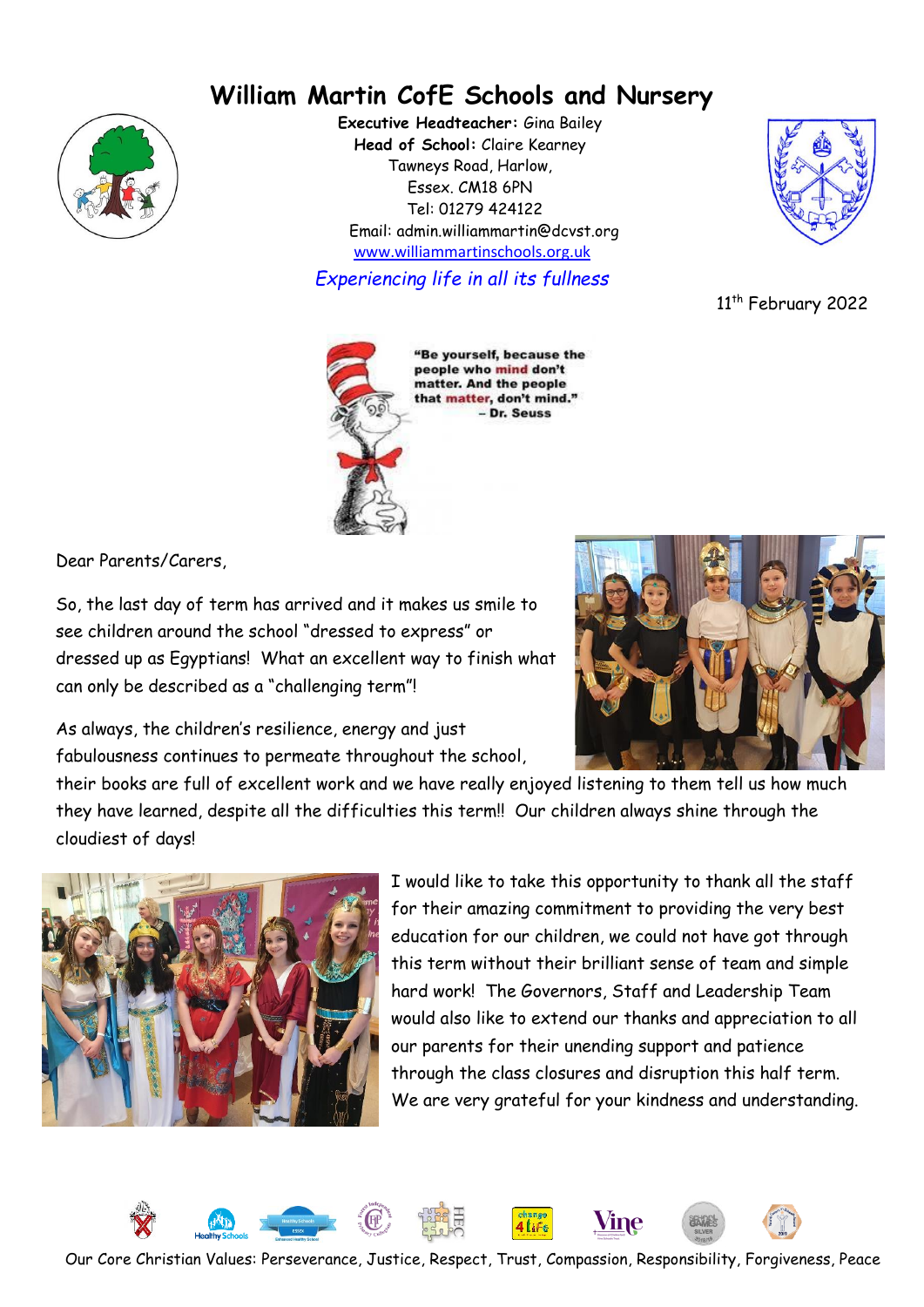# **William Martin CofE Schools and Nursery**



**Executive Headteacher:** Gina Bailey **Head of School:** Claire Kearney Tawneys Road, Harlow, Essex. CM18 6PN Tel: 01279 424122 Email: admin.williammartin@dcvst.org www.williammartinschools.org.uk

*Experiencing life in all its fullness*



11<sup>th</sup> February 2022



"Be yourself, because the people who mind don't matter. And the people that matter, don't mind." - Dr. Seuss

Dear Parents/Carers,

So, the last day of term has arrived and it makes us smile to see children around the school "dressed to express" or dressed up as Egyptians! What an excellent way to finish what can only be described as a "challenging term"!



As always, the children's resilience, energy and just fabulousness continues to permeate throughout the school,

their books are full of excellent work and we have really enjoyed listening to them tell us how much they have learned, despite all the difficulties this term!! Our children always shine through the cloudiest of days!



I would like to take this opportunity to thank all the staff for their amazing commitment to providing the very best education for our children, we could not have got through this term without their brilliant sense of team and simple hard work! The Governors, Staff and Leadership Team would also like to extend our thanks and appreciation to all our parents for their unending support and patience through the class closures and disruption this half term. We are very grateful for your kindness and understanding.

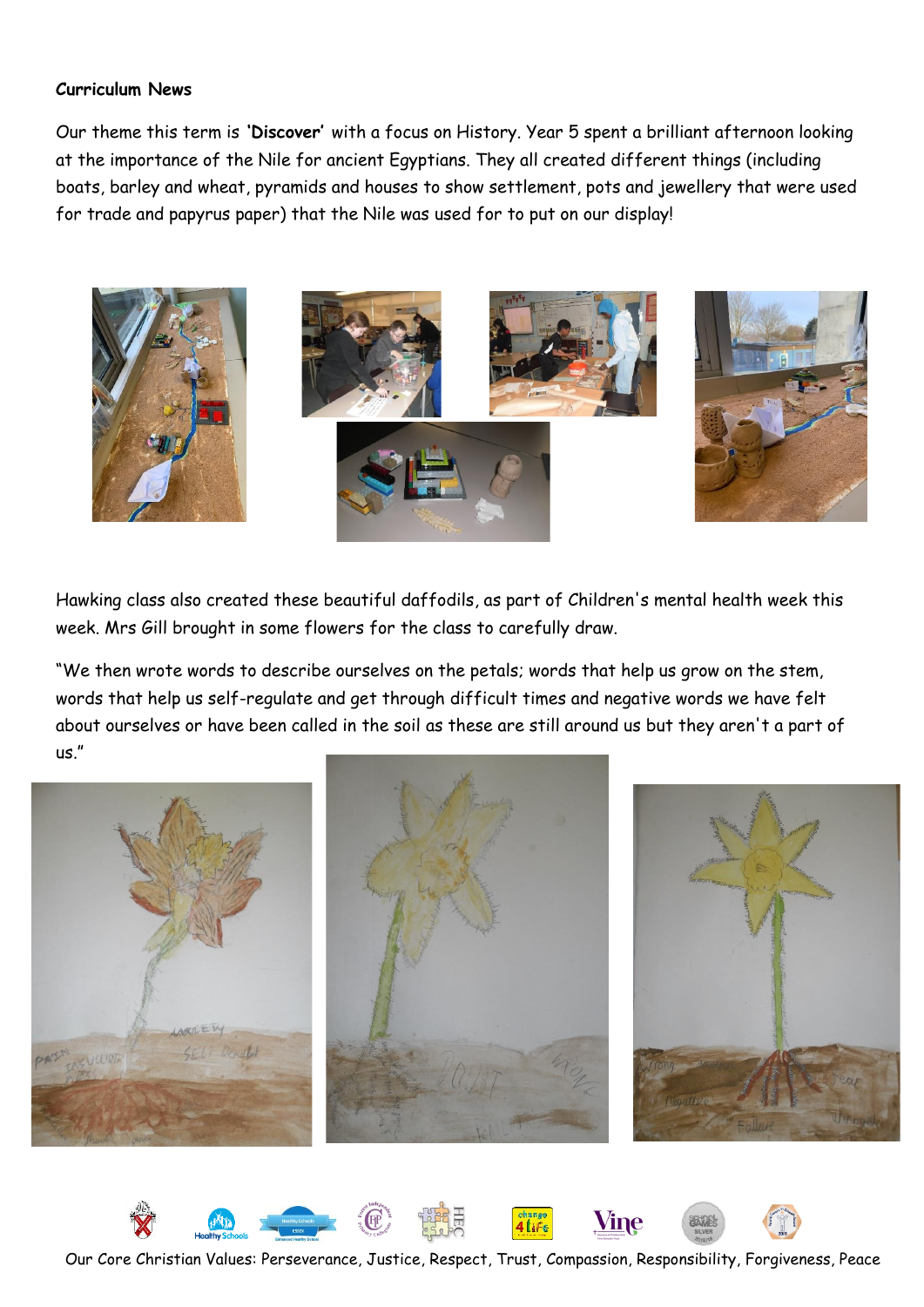#### **Curriculum News**

Our theme this term is **'Discover'** with a focus on History. Year 5 spent a brilliant afternoon looking at the importance of the Nile for ancient Egyptians. They all created different things (including boats, barley and wheat, pyramids and houses to show settlement, pots and jewellery that were used for trade and papyrus paper) that the Nile was used for to put on our display!



Hawking class also created these beautiful daffodils, as part of Children's mental health week this week. Mrs Gill brought in some flowers for the class to carefully draw.

"We then wrote words to describe ourselves on the petals; words that help us grow on the stem, words that help us self-regulate and get through difficult times and negative words we have felt about ourselves or have been called in the soil as these are still around us but they aren't a part of us."



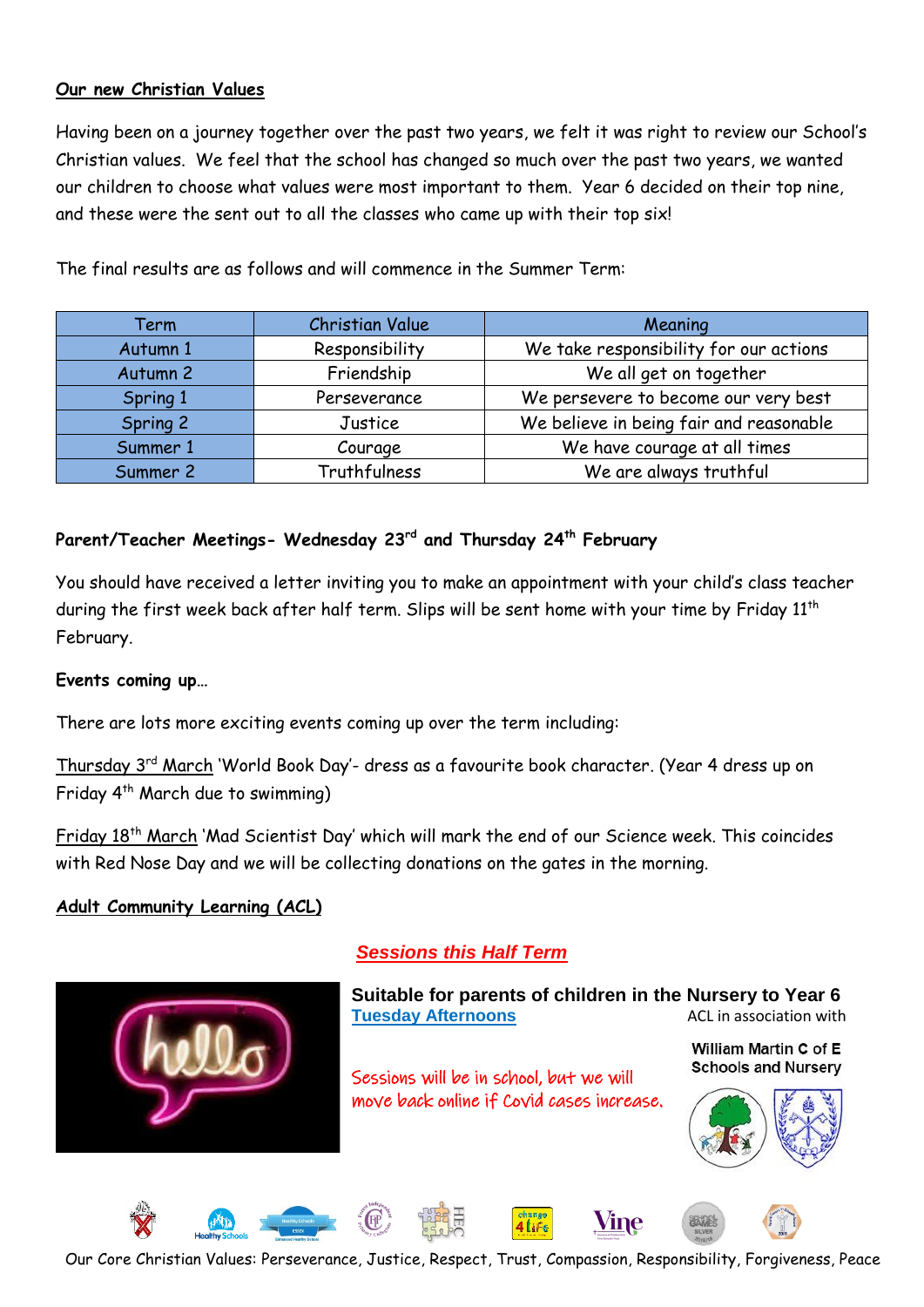#### **Our new Christian Values**

Having been on a journey together over the past two years, we felt it was right to review our School's Christian values. We feel that the school has changed so much over the past two years, we wanted our children to choose what values were most important to them. Year 6 decided on their top nine, and these were the sent out to all the classes who came up with their top six!

| Term     | <b>Christian Value</b> | Meaning                                 |
|----------|------------------------|-----------------------------------------|
| Autumn 1 | Responsibility         | We take responsibility for our actions  |
| Autumn 2 | Friendship             | We all get on together                  |
| Spring 1 | Perseverance           | We persevere to become our very best    |
| Spring 2 | Justice                | We believe in being fair and reasonable |
| Summer 1 | Courage                | We have courage at all times            |
| Summer 2 | Truthfulness           | We are always truthful                  |

The final results are as follows and will commence in the Summer Term:

# **Parent/Teacher Meetings- Wednesday 23rd and Thursday 24th February**

You should have received a letter inviting you to make an appointment with your child's class teacher during the first week back after half term. Slips will be sent home with your time by Friday 11<sup>th</sup> February.

#### **Events coming up…**

There are lots more exciting events coming up over the term including:

Thursday 3<sup>rd</sup> March 'World Book Day'- dress as a favourite book character. (Year 4 dress up on Friday 4<sup>th</sup> March due to swimming)

Friday 18<sup>th</sup> March 'Mad Scientist Day' which will mark the end of our Science week. This coincides with Red Nose Day and we will be collecting donations on the gates in the morning.

#### **Adult Community Learning (ACL)**



## *Sessions this Half Term*

**Suitable for parents of children in the Nursery to Year 6 Tuesday Afternoons ACL in association with** 

Sessions will be in school, but we will move back online if Covid cases increase. William Martin C of E **Schools and Nurserv** 



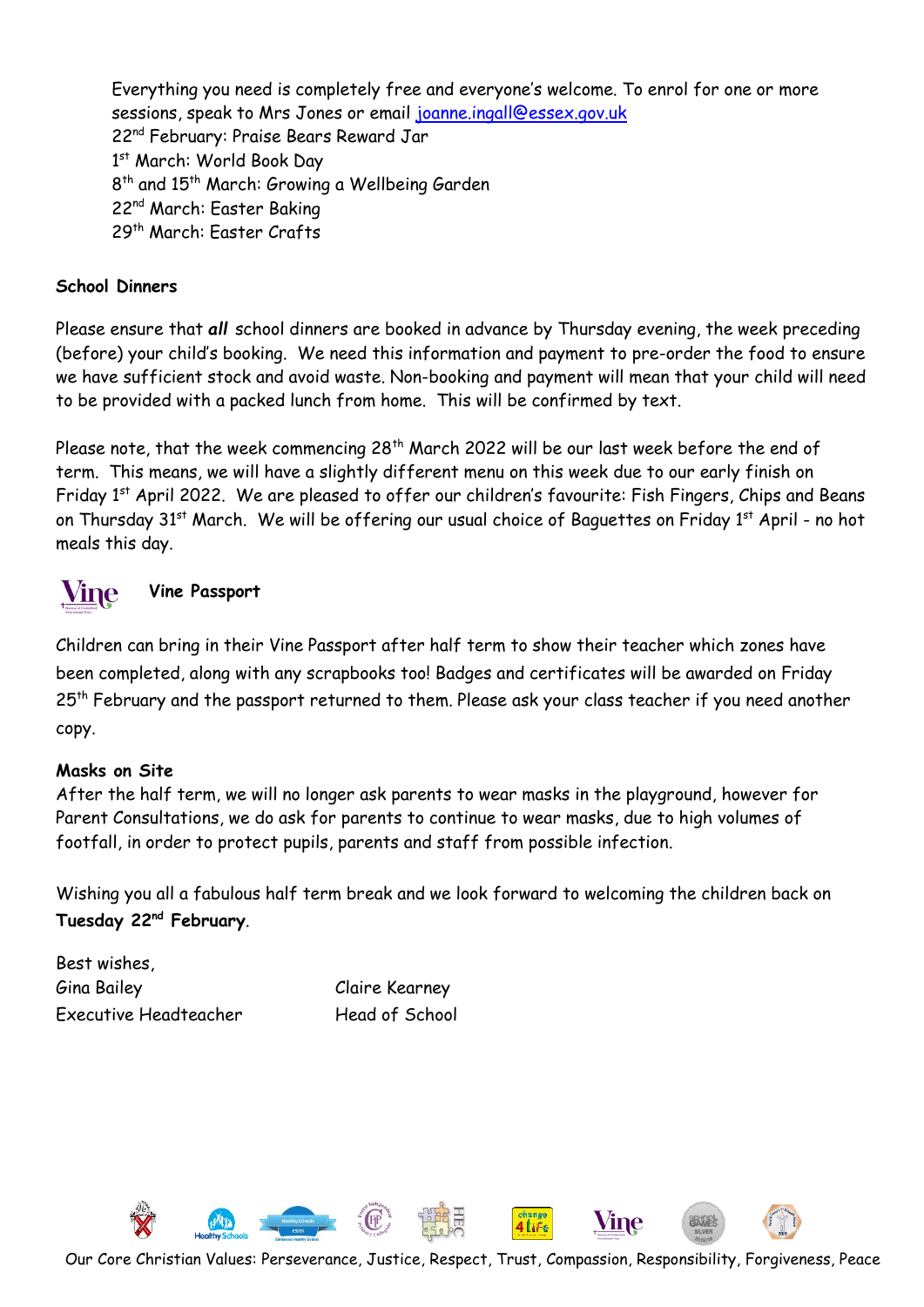Everything you need is completely free and everyone's welcome. To enrol for one or more sessions, speak to Mrs Jones or email [joanne.ingall@essex.gov.uk](mailto:joanne.ingall@essex.gov.uk) 22nd February: Praise Bears Reward Jar 1st March: World Book Day 8<sup>th</sup> and 15<sup>th</sup> March: Growing a Wellbeing Garden 22nd March: Easter Baking 29th March: Easter Crafts

### **School Dinners**

Please ensure that *all* school dinners are booked in advance by Thursday evening, the week preceding (before) your child's booking. We need this information and payment to pre-order the food to ensure we have sufficient stock and avoid waste. Non-booking and payment will mean that your child will need to be provided with a packed lunch from home. This will be confirmed by text.

Please note, that the week commencing  $28<sup>th</sup>$  March 2022 will be our last week before the end of term. This means, we will have a slightly different menu on this week due to our early finish on Friday 1<sup>st</sup> April 2022. We are pleased to offer our children's favourite: Fish Fingers, Chips and Beans on Thursday 31st March. We will be offering our usual choice of Baguettes on Friday 1st April - no hot meals this day.



# **Vine Passport**

Children can bring in their Vine Passport after half term to show their teacher which zones have been completed, along with any scrapbooks too! Badges and certificates will be awarded on Friday 25<sup>th</sup> February and the passport returned to them. Please ask your class teacher if you need another copy.

#### **Masks on Site**

After the half term, we will no longer ask parents to wear masks in the playground, however for Parent Consultations, we do ask for parents to continue to wear masks, due to high volumes of footfall, in order to protect pupils, parents and staff from possible infection.

Wishing you all a fabulous half term break and we look forward to welcoming the children back on **Tuesday 22nd February**.

Best wishes, Gina Bailey Claire Kearney Executive Headteacher Head of School